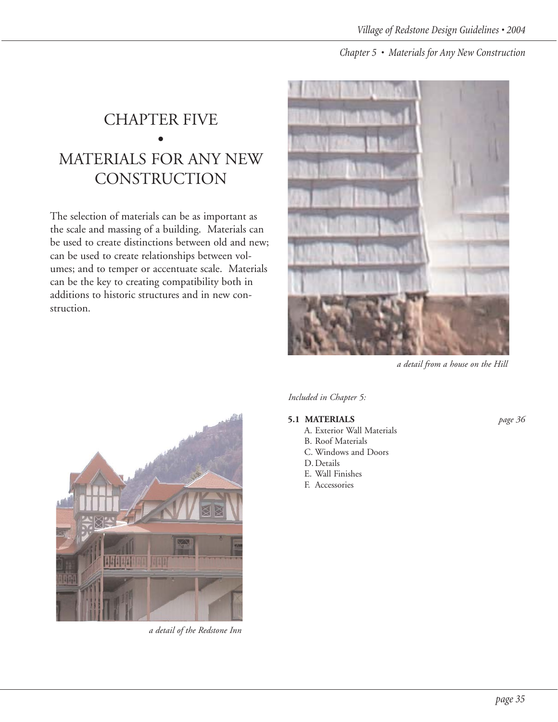## CHAPTER FIVE • MATERIALS FOR ANY NEW **CONSTRUCTION**

The selection of materials can be as important as the scale and massing of a building. Materials can be used to create distinctions between old and new; can be used to create relationships between volumes; and to temper or accentuate scale. Materials can be the key to creating compatibility both in additions to historic structures and in new construction.



*a detail from a house on the Hill*



# *Included in Chapter 5:*

### **5.1 MATERIALS** *page 36*

- A. Exterior Wall Materials
- B. Roof Materials C. Windows and Doors
- D. Details
- E. Wall Finishes
- F. Accessories



*a detail of the Redstone Inn*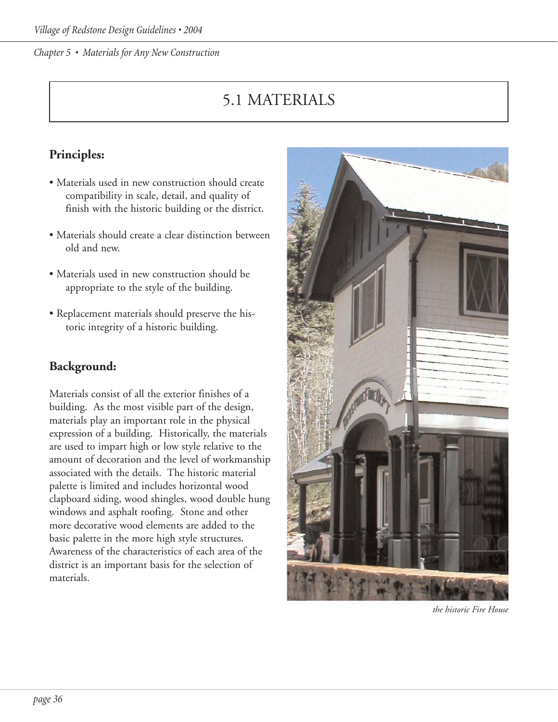# 5.1 MATERIALS

## **Principles:**

- Materials used in new construction should create compatibility in scale, detail, and quality of finish with the historic building or the district.
- Materials should create a clear distinction between old and new.
- Materials used in new construction should be appropriate to the style of the building.
- Replacement materials should preserve the historic integrity of a historic building.

## **Background:**

Materials consist of all the exterior finishes of a building. As the most visible part of the design, materials play an important role in the physical expression of a building. Historically, the materials are used to impart high or low style relative to the amount of decoration and the level of workmanship associated with the details. The historic material palette is limited and includes horizontal wood clapboard siding, wood shingles, wood double hung windows and asphalt roofing. Stone and other more decorative wood elements are added to the basic palette in the more high style structures. Awareness of the characteristics of each area of the district is an important basis for the selection of materials.



*the historic Fire House*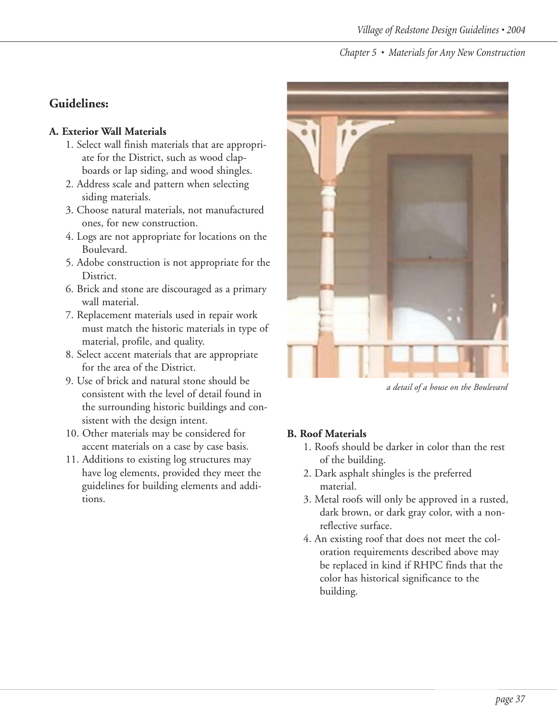### **Guidelines:**

#### **A. Exterior Wall Materials**

- 1. Select wall finish materials that are appropriate for the District, such as wood clapboards or lap siding, and wood shingles.
- 2. Address scale and pattern when selecting siding materials.
- 3. Choose natural materials, not manufactured ones, for new construction.
- 4. Logs are not appropriate for locations on the Boulevard.
- 5. Adobe construction is not appropriate for the District.
- 6. Brick and stone are discouraged as a primary wall material.
- 7. Replacement materials used in repair work must match the historic materials in type of material, profile, and quality.
- 8. Select accent materials that are appropriate for the area of the District.
- 9. Use of brick and natural stone should be consistent with the level of detail found in the surrounding historic buildings and consistent with the design intent.
- 10. Other materials may be considered for accent materials on a case by case basis.
- 11. Additions to existing log structures may have log elements, provided they meet the guidelines for building elements and additions.



*a detail of a house on the Boulevard*

### **B. Roof Materials**

- 1. Roofs should be darker in color than the rest of the building.
- 2. Dark asphalt shingles is the preferred material.
- 3. Metal roofs will only be approved in a rusted, dark brown, or dark gray color, with a nonreflective surface.
- 4. An existing roof that does not meet the coloration requirements described above may be replaced in kind if RHPC finds that the color has historical significance to the building.